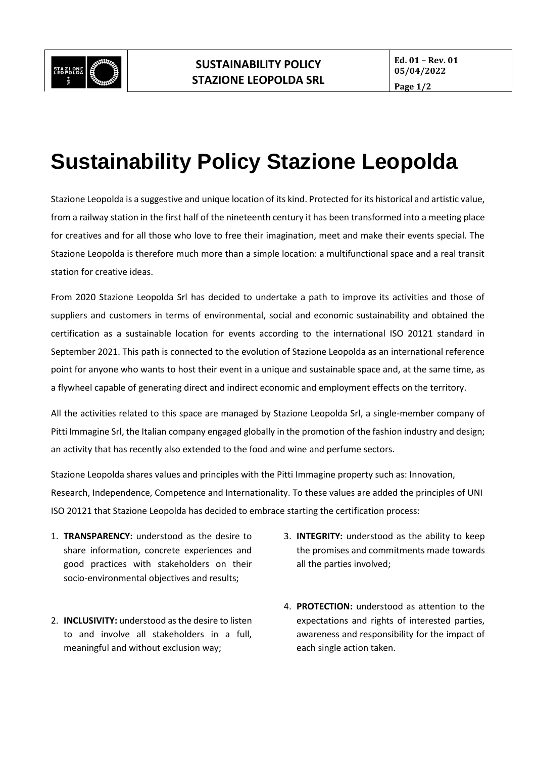

**Ed. 01 – Rev. 01 05/04/2022**

## **Sustainability Policy Stazione Leopolda**

Stazione Leopolda is a suggestive and unique location of its kind. Protected for its historical and artistic value, from a railway station in the first half of the nineteenth century it has been transformed into a meeting place for creatives and for all those who love to free their imagination, meet and make their events special. The Stazione Leopolda is therefore much more than a simple location: a multifunctional space and a real transit station for creative ideas.

From 2020 Stazione Leopolda Srl has decided to undertake a path to improve its activities and those of suppliers and customers in terms of environmental, social and economic sustainability and obtained the certification as a sustainable location for events according to the international ISO 20121 standard in September 2021. This path is connected to the evolution of Stazione Leopolda as an international reference point for anyone who wants to host their event in a unique and sustainable space and, at the same time, as a flywheel capable of generating direct and indirect economic and employment effects on the territory.

All the activities related to this space are managed by Stazione Leopolda Srl, a single-member company of Pitti Immagine Srl, the Italian company engaged globally in the promotion of the fashion industry and design; an activity that has recently also extended to the food and wine and perfume sectors.

Stazione Leopolda shares values and principles with the Pitti Immagine property such as: Innovation, Research, Independence, Competence and Internationality. To these values are added the principles of UNI ISO 20121 that Stazione Leopolda has decided to embrace starting the certification process:

- 1. **TRANSPARENCY:** understood as the desire to share information, concrete experiences and good practices with stakeholders on their socio-environmental objectives and results;
- 2. **INCLUSIVITY:** understood as the desire to listen to and involve all stakeholders in a full, meaningful and without exclusion way;
- 3. **INTEGRITY:** understood as the ability to keep the promises and commitments made towards all the parties involved;
- 4. **PROTECTION:** understood as attention to the expectations and rights of interested parties, awareness and responsibility for the impact of each single action taken.